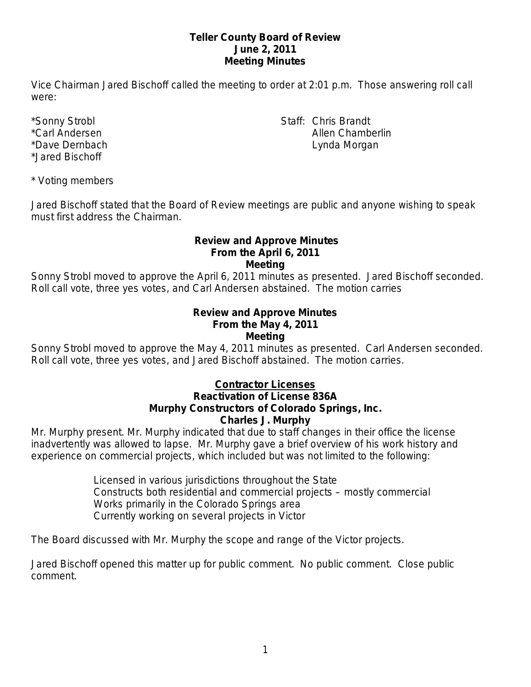## **Teller County Board of Review June 2, 2011 Meeting Minutes**

Vice Chairman Jared Bischoff called the meeting to order at 2:01 p.m. Those answering roll call were:

\*Jared Bischoff

\*Sonny Strobl Staff: Chris Brandt \*Carl Andersen Allen Chamberlin Allen Chamberlin \*Dave Dernbach **Lynda Morgan** National Accounts to the Lynda Morgan

\* Voting members

Jared Bischoff stated that the Board of Review meetings are public and anyone wishing to speak must first address the Chairman.

## **Review and Approve Minutes From the April 6, 2011 Meeting**

Sonny Strobl moved to approve the April 6, 2011 minutes as presented. Jared Bischoff seconded. Roll call vote, three yes votes, and Carl Andersen abstained. The motion carries

#### **Review and Approve Minutes From the May 4, 2011 Meeting**

Sonny Strobl moved to approve the May 4, 2011 minutes as presented. Carl Andersen seconded. Roll call vote, three yes votes, and Jared Bischoff abstained. The motion carries.

# **Contractor Licenses Reactivation of License 836A Murphy Constructors of Colorado Springs, Inc.**

**Charles J. Murphy**

Mr. Murphy present. Mr. Murphy indicated that due to staff changes in their office the license inadvertently was allowed to lapse. Mr. Murphy gave a brief overview of his work history and experience on commercial projects, which included but was not limited to the following:

> Licensed in various jurisdictions throughout the State Constructs both residential and commercial projects – mostly commercial Works primarily in the Colorado Springs area Currently working on several projects in Victor

The Board discussed with Mr. Murphy the scope and range of the Victor projects.

Jared Bischoff opened this matter up for public comment. No public comment. Close public comment.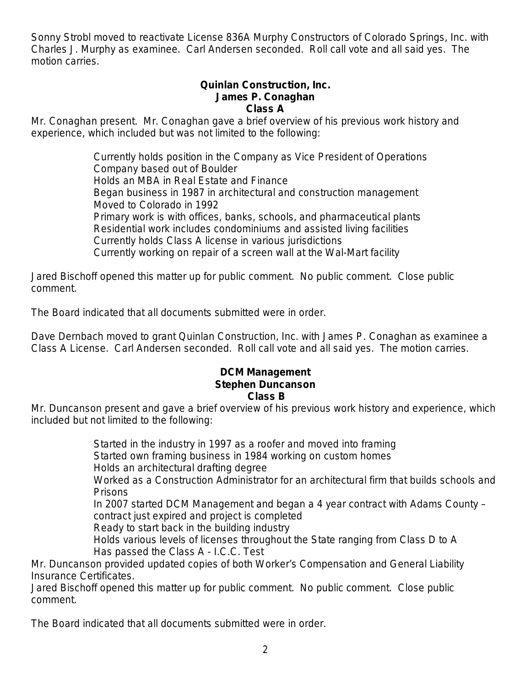Sonny Strobl moved to reactivate License 836A Murphy Constructors of Colorado Springs, Inc. with Charles J. Murphy as examinee. Carl Andersen seconded. Roll call vote and all said yes. The motion carries.

### **Quinlan Construction, Inc. James P. Conaghan Class A**

Mr. Conaghan present. Mr. Conaghan gave a brief overview of his previous work history and experience, which included but was not limited to the following:

> Currently holds position in the Company as Vice President of Operations Company based out of Boulder Holds an MBA in Real Estate and Finance Began business in 1987 in architectural and construction management Moved to Colorado in 1992 Primary work is with offices, banks, schools, and pharmaceutical plants Residential work includes condominiums and assisted living facilities Currently holds Class A license in various jurisdictions Currently working on repair of a screen wall at the Wal-Mart facility

Jared Bischoff opened this matter up for public comment. No public comment. Close public comment.

The Board indicated that all documents submitted were in order.

Dave Dernbach moved to grant Quinlan Construction, Inc. with James P. Conaghan as examinee a Class A License. Carl Andersen seconded. Roll call vote and all said yes. The motion carries.

## **DCM Management Stephen Duncanson Class B**

Mr. Duncanson present and gave a brief overview of his previous work history and experience, which included but not limited to the following:

> Started in the industry in 1997 as a roofer and moved into framing Started own framing business in 1984 working on custom homes Holds an architectural drafting degree Worked as a Construction Administrator for an architectural firm that builds schools and Prisons In 2007 started DCM Management and began a 4 year contract with Adams County – contract just expired and project is completed Ready to start back in the building industry Holds various levels of licenses throughout the State ranging from Class D to A Has passed the Class A - I.C.C. Test

Mr. Duncanson provided updated copies of both Worker's Compensation and General Liability Insurance Certificates.

Jared Bischoff opened this matter up for public comment. No public comment. Close public comment.

The Board indicated that all documents submitted were in order.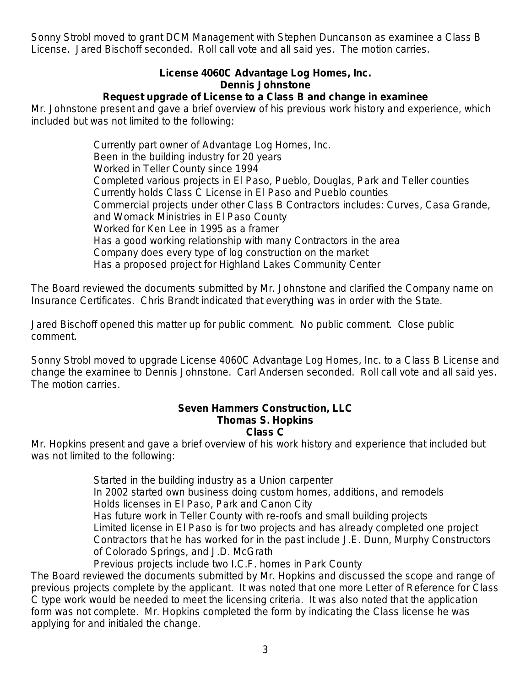Sonny Strobl moved to grant DCM Management with Stephen Duncanson as examinee a Class B License. Jared Bischoff seconded. Roll call vote and all said yes. The motion carries.

# **License 4060C Advantage Log Homes, Inc. Dennis Johnstone**

# **Request upgrade of License to a Class B and change in examinee**

Mr. Johnstone present and gave a brief overview of his previous work history and experience, which included but was not limited to the following:

> Currently part owner of Advantage Log Homes, Inc. Been in the building industry for 20 years Worked in Teller County since 1994 Completed various projects in El Paso, Pueblo, Douglas, Park and Teller counties Currently holds Class C License in El Paso and Pueblo counties Commercial projects under other Class B Contractors includes: Curves, Casa Grande, and Womack Ministries in El Paso County Worked for Ken Lee in 1995 as a framer Has a good working relationship with many Contractors in the area Company does every type of log construction on the market Has a proposed project for Highland Lakes Community Center

The Board reviewed the documents submitted by Mr. Johnstone and clarified the Company name on Insurance Certificates. Chris Brandt indicated that everything was in order with the State.

Jared Bischoff opened this matter up for public comment. No public comment. Close public comment.

Sonny Strobl moved to upgrade License 4060C Advantage Log Homes, Inc. to a Class B License and change the examinee to Dennis Johnstone. Carl Andersen seconded. Roll call vote and all said yes. The motion carries.

### **Seven Hammers Construction, LLC Thomas S. Hopkins Class C**

Mr. Hopkins present and gave a brief overview of his work history and experience that included but was not limited to the following:

> Started in the building industry as a Union carpenter In 2002 started own business doing custom homes, additions, and remodels Holds licenses in El Paso, Park and Canon City Has future work in Teller County with re-roofs and small building projects Limited license in El Paso is for two projects and has already completed one project Contractors that he has worked for in the past include J.E. Dunn, Murphy Constructors of Colorado Springs, and J.D. McGrath Previous projects include two I.C.F. homes in Park County

The Board reviewed the documents submitted by Mr. Hopkins and discussed the scope and range of previous projects complete by the applicant. It was noted that one more Letter of Reference for Class C type work would be needed to meet the licensing criteria. It was also noted that the application form was not complete. Mr. Hopkins completed the form by indicating the Class license he was applying for and initialed the change.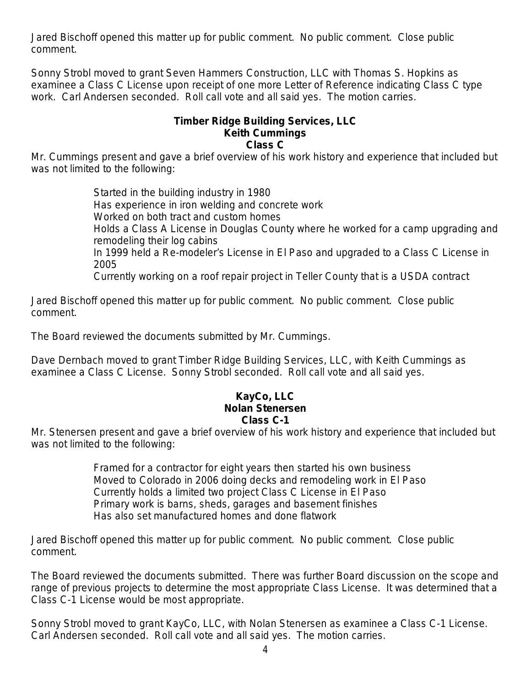Jared Bischoff opened this matter up for public comment. No public comment. Close public comment.

Sonny Strobl moved to grant Seven Hammers Construction, LLC with Thomas S. Hopkins as examinee a Class C License upon receipt of one more Letter of Reference indicating Class C type work. Carl Andersen seconded. Roll call vote and all said yes. The motion carries.

### **Timber Ridge Building Services, LLC Keith Cummings Class C**

Mr. Cummings present and gave a brief overview of his work history and experience that included but was not limited to the following:

> Started in the building industry in 1980 Has experience in iron welding and concrete work Worked on both tract and custom homes Holds a Class A License in Douglas County where he worked for a camp upgrading and remodeling their log cabins In 1999 held a Re-modeler's License in El Paso and upgraded to a Class C License in 2005 Currently working on a roof repair project in Teller County that is a USDA contract

Jared Bischoff opened this matter up for public comment. No public comment. Close public comment.

The Board reviewed the documents submitted by Mr. Cummings.

Dave Dernbach moved to grant Timber Ridge Building Services, LLC, with Keith Cummings as examinee a Class C License. Sonny Strobl seconded. Roll call vote and all said yes.

### **KayCo, LLC Nolan Stenersen Class C-1**

Mr. Stenersen present and gave a brief overview of his work history and experience that included but was not limited to the following:

> Framed for a contractor for eight years then started his own business Moved to Colorado in 2006 doing decks and remodeling work in El Paso Currently holds a limited two project Class C License in El Paso Primary work is barns, sheds, garages and basement finishes Has also set manufactured homes and done flatwork

Jared Bischoff opened this matter up for public comment. No public comment. Close public comment.

The Board reviewed the documents submitted. There was further Board discussion on the scope and range of previous projects to determine the most appropriate Class License. It was determined that a Class C-1 License would be most appropriate.

Sonny Strobl moved to grant KayCo, LLC, with Nolan Stenersen as examinee a Class C-1 License. Carl Andersen seconded. Roll call vote and all said yes. The motion carries.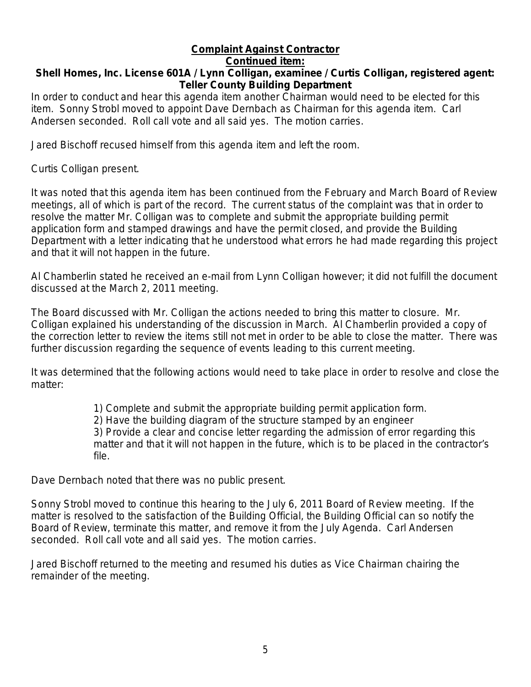# **Complaint Against Contractor**

### **Continued item:**

# **Shell Homes, Inc. License 601A / Lynn Colligan, examinee / Curtis Colligan, registered agent: Teller County Building Department**

In order to conduct and hear this agenda item another Chairman would need to be elected for this item. Sonny Strobl moved to appoint Dave Dernbach as Chairman for this agenda item. Carl Andersen seconded. Roll call vote and all said yes. The motion carries.

Jared Bischoff recused himself from this agenda item and left the room.

Curtis Colligan present.

It was noted that this agenda item has been continued from the February and March Board of Review meetings, all of which is part of the record. The current status of the complaint was that in order to resolve the matter Mr. Colligan was to complete and submit the appropriate building permit application form and stamped drawings and have the permit closed, and provide the Building Department with a letter indicating that he understood what errors he had made regarding this project and that it will not happen in the future.

Al Chamberlin stated he received an e-mail from Lynn Colligan however; it did not fulfill the document discussed at the March 2, 2011 meeting.

The Board discussed with Mr. Colligan the actions needed to bring this matter to closure. Mr. Colligan explained his understanding of the discussion in March. Al Chamberlin provided a copy of the correction letter to review the items still not met in order to be able to close the matter. There was further discussion regarding the sequence of events leading to this current meeting.

It was determined that the following actions would need to take place in order to resolve and close the matter:

1) Complete and submit the appropriate building permit application form.

2) Have the building diagram of the structure stamped by an engineer

3) Provide a clear and concise letter regarding the admission of error regarding this matter and that it will not happen in the future, which is to be placed in the contractor's file.

Dave Dernbach noted that there was no public present.

Sonny Strobl moved to continue this hearing to the July 6, 2011 Board of Review meeting. If the matter is resolved to the satisfaction of the Building Official, the Building Official can so notify the Board of Review, terminate this matter, and remove it from the July Agenda. Carl Andersen seconded. Roll call vote and all said yes. The motion carries.

Jared Bischoff returned to the meeting and resumed his duties as Vice Chairman chairing the remainder of the meeting.